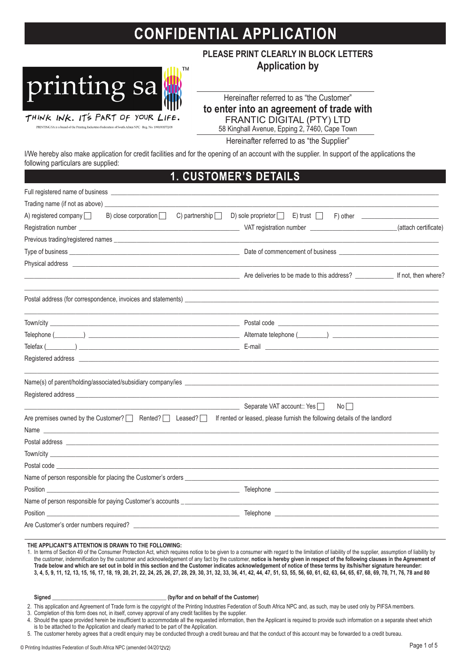## **CONFIDENTIAL APPLICATION**



PRINTING SA is a brand of the Printing Industries Federation of South Africa NPC - Reg. No. 1990/001772/08

**PLEASE PRINT CLEARLY IN BLOCK LETTERS Application by**

Hereinafter referred to as "the Customer"

**to enter into an agreement of trade with**

FRANTIC DIGITAL (PTY) LTD

58 Kinghall Avenue, Epping 2, 7460, Cape Town

Hereinafter referred to as "the Supplier"

I/We hereby also make application for credit facilities and for the opening of an account with the supplier. In support of the applications the following particulars are supplied:

## **CUSTOMER'S DETAILS**  $\mathbf 1$ .

| Separate VAT account:: Yes<br>No |                                                                                                                                                                                                                                                                                                                                                                                                                                                                                                                                                                                                                                                                                                                                                                                                                                                                                                                                                                                                                                                              |
|----------------------------------|--------------------------------------------------------------------------------------------------------------------------------------------------------------------------------------------------------------------------------------------------------------------------------------------------------------------------------------------------------------------------------------------------------------------------------------------------------------------------------------------------------------------------------------------------------------------------------------------------------------------------------------------------------------------------------------------------------------------------------------------------------------------------------------------------------------------------------------------------------------------------------------------------------------------------------------------------------------------------------------------------------------------------------------------------------------|
|                                  |                                                                                                                                                                                                                                                                                                                                                                                                                                                                                                                                                                                                                                                                                                                                                                                                                                                                                                                                                                                                                                                              |
|                                  |                                                                                                                                                                                                                                                                                                                                                                                                                                                                                                                                                                                                                                                                                                                                                                                                                                                                                                                                                                                                                                                              |
|                                  |                                                                                                                                                                                                                                                                                                                                                                                                                                                                                                                                                                                                                                                                                                                                                                                                                                                                                                                                                                                                                                                              |
|                                  |                                                                                                                                                                                                                                                                                                                                                                                                                                                                                                                                                                                                                                                                                                                                                                                                                                                                                                                                                                                                                                                              |
|                                  |                                                                                                                                                                                                                                                                                                                                                                                                                                                                                                                                                                                                                                                                                                                                                                                                                                                                                                                                                                                                                                                              |
|                                  |                                                                                                                                                                                                                                                                                                                                                                                                                                                                                                                                                                                                                                                                                                                                                                                                                                                                                                                                                                                                                                                              |
|                                  |                                                                                                                                                                                                                                                                                                                                                                                                                                                                                                                                                                                                                                                                                                                                                                                                                                                                                                                                                                                                                                                              |
|                                  |                                                                                                                                                                                                                                                                                                                                                                                                                                                                                                                                                                                                                                                                                                                                                                                                                                                                                                                                                                                                                                                              |
|                                  |                                                                                                                                                                                                                                                                                                                                                                                                                                                                                                                                                                                                                                                                                                                                                                                                                                                                                                                                                                                                                                                              |
|                                  |                                                                                                                                                                                                                                                                                                                                                                                                                                                                                                                                                                                                                                                                                                                                                                                                                                                                                                                                                                                                                                                              |
|                                  | B) close corporation $\Box$ C) partnership $\Box$ D) sole proprietor $\Box$<br>$E$ ) trust $\Box$ F) other $\Box$<br>Postal address (for correspondence, invoices and statements) <b>Process and Statements</b> and The Content of the Content of the Content of the Content of the Content of the Content of the Content of the Content of the Content<br>Name(s) of parent/holding/associated/subsidiary company/ies entertainment and all the control of parent/holding/associated/subsidiary company/ies<br>Registered address and the control of the control of the control of the control of the control of the control of the control of the control of the control of the control of the control of the control of the control of the<br>If rented or leased, please furnish the following details of the landlord<br>Name experience and the second contract of the second contract of the second contract of the second contract of the second contract of the second contract of the second contract of the second contract of the second contrac |

## **THE APPLICANT'S ATTENTION IS DRAWN TO THE FOLLOWING:**

1. In terms of Section 49 of the Consumer Protection Act, which requires notice to be given to a consumer with regard to the limitation of liability of the supplier, assumption of liability by the customer, indemnification by the customer and acknowledgement of any fact by the customer, **notice is hereby given in respect of the following clauses in the Agreement of Trade below and which are set out in bold in this section and the Customer indicates acknowledgement of notice of these terms by its/his/her signature hereunder: 3, 4, 5, 9, 11, 12, 13, 15, 16, 17, 18, 19, 20, 21, 22, 24, 25, 26, 27, 28, 29, 30, 31, 32, 33, 36, 41, 42, 44, 47, 51, 53, 55, 56, 60, 61, 62, 63, 64, 65, 67, 68, 69, 70, 71, 76, 78 and 80**

Signed Signed **Signed** (by/for and on behalf of the Customer)

2. This application and Agreement of Trade form is the copyright of the Printing Industries Federation of South Africa NPC and, as such, may be used only by PIFSA members.

3. Completion of this form does not, in itself, convey approval of any credit facilities by the supplier.

4. Should the space provided herein be insufficient to accommodate all the requested information, then the Applicant is required to provide such information on a separate sheet which is to be attached to the Application and clearly marked to be part of the Application.

5. The customer hereby agrees that a credit enquiry may be conducted through a credit bureau and that the conduct of this account may be forwarded to a credit bureau.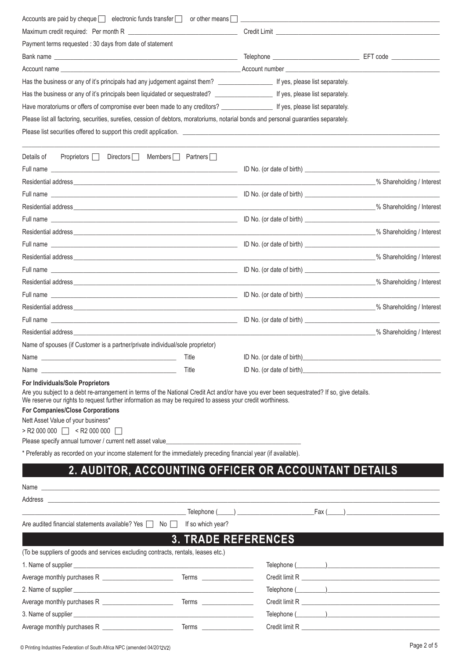| Accounts are paid by cheque $\Box$ electronic funds transfer $\Box$ or other means $\Box$                                                                                                                                                                                                                                                                                                                                                  |                                                      |                           |                                                                                                                                                                                                                                |
|--------------------------------------------------------------------------------------------------------------------------------------------------------------------------------------------------------------------------------------------------------------------------------------------------------------------------------------------------------------------------------------------------------------------------------------------|------------------------------------------------------|---------------------------|--------------------------------------------------------------------------------------------------------------------------------------------------------------------------------------------------------------------------------|
|                                                                                                                                                                                                                                                                                                                                                                                                                                            |                                                      |                           |                                                                                                                                                                                                                                |
| Payment terms requested : 30 days from date of statement                                                                                                                                                                                                                                                                                                                                                                                   |                                                      |                           |                                                                                                                                                                                                                                |
|                                                                                                                                                                                                                                                                                                                                                                                                                                            |                                                      |                           |                                                                                                                                                                                                                                |
| Account name example and the set of the set of the set of the set of the set of the set of the set of the set of the set of the set of the set of the set of the set of the set of the set of the set of the set of the set of                                                                                                                                                                                                             |                                                      |                           |                                                                                                                                                                                                                                |
| Has the business or any of it's principals had any judgement against them? [16] If yes, please list separately.                                                                                                                                                                                                                                                                                                                            |                                                      |                           |                                                                                                                                                                                                                                |
| Has the business or any of it's principals been liquidated or sequestrated? ____________________ If yes, please list separately.                                                                                                                                                                                                                                                                                                           |                                                      |                           |                                                                                                                                                                                                                                |
| Have moratoriums or offers of compromise ever been made to any creditors? ____________________ If yes, please list separately.                                                                                                                                                                                                                                                                                                             |                                                      |                           |                                                                                                                                                                                                                                |
| Please list all factoring, securities, sureties, cession of debtors, moratoriums, notarial bonds and personal guaranties separately.                                                                                                                                                                                                                                                                                                       |                                                      |                           |                                                                                                                                                                                                                                |
| Please list securities offered to support this credit application.                                                                                                                                                                                                                                                                                                                                                                         |                                                      |                           |                                                                                                                                                                                                                                |
| Details of<br>Proprietors Directors Members Partners                                                                                                                                                                                                                                                                                                                                                                                       |                                                      |                           |                                                                                                                                                                                                                                |
|                                                                                                                                                                                                                                                                                                                                                                                                                                            |                                                      |                           |                                                                                                                                                                                                                                |
| Residential address and the contract of the contract of the contract of the contract of the contract of the contract of the contract of the contract of the contract of the contract of the contract of the contract of the co                                                                                                                                                                                                             |                                                      |                           | % Shareholding / Interest                                                                                                                                                                                                      |
|                                                                                                                                                                                                                                                                                                                                                                                                                                            |                                                      |                           |                                                                                                                                                                                                                                |
|                                                                                                                                                                                                                                                                                                                                                                                                                                            |                                                      |                           |                                                                                                                                                                                                                                |
|                                                                                                                                                                                                                                                                                                                                                                                                                                            |                                                      |                           |                                                                                                                                                                                                                                |
|                                                                                                                                                                                                                                                                                                                                                                                                                                            |                                                      |                           |                                                                                                                                                                                                                                |
|                                                                                                                                                                                                                                                                                                                                                                                                                                            |                                                      |                           |                                                                                                                                                                                                                                |
|                                                                                                                                                                                                                                                                                                                                                                                                                                            |                                                      |                           | _% Shareholding / Interest                                                                                                                                                                                                     |
|                                                                                                                                                                                                                                                                                                                                                                                                                                            |                                                      |                           |                                                                                                                                                                                                                                |
|                                                                                                                                                                                                                                                                                                                                                                                                                                            |                                                      |                           |                                                                                                                                                                                                                                |
|                                                                                                                                                                                                                                                                                                                                                                                                                                            |                                                      |                           |                                                                                                                                                                                                                                |
|                                                                                                                                                                                                                                                                                                                                                                                                                                            |                                                      |                           | 2% Shareholding / Interest                                                                                                                                                                                                     |
|                                                                                                                                                                                                                                                                                                                                                                                                                                            |                                                      |                           |                                                                                                                                                                                                                                |
| Residential address and the control of the control of the control of the control of the control of the control of the control of the control of the control of the control of the control of the control of the control of the                                                                                                                                                                                                             |                                                      |                           | _% Shareholding / Interest                                                                                                                                                                                                     |
| Name of spouses (if Customer is a partner/private individual/sole proprietor)                                                                                                                                                                                                                                                                                                                                                              |                                                      |                           |                                                                                                                                                                                                                                |
| Name                                                                                                                                                                                                                                                                                                                                                                                                                                       | Title                                                | ID No. (or date of birth) |                                                                                                                                                                                                                                |
| Name was a structured by the contract of the contract of the contract of the contract of the contract of the contract of the contract of the contract of the contract of the contract of the contract of the contract of the c                                                                                                                                                                                                             | Title                                                |                           |                                                                                                                                                                                                                                |
| For Individuals/Sole Proprietors                                                                                                                                                                                                                                                                                                                                                                                                           |                                                      |                           |                                                                                                                                                                                                                                |
| Are you subject to a debt re-arrangement in terms of the National Credit Act and/or have you ever been sequestrated? If so, give details.<br>We reserve our rights to request further information as may be required to assess your credit worthiness.<br><b>For Companies/Close Corporations</b><br>Nett Asset Value of your business*<br>>R2 000 000   <r2 000=""  <br="">Please specify annual turnover / current nett asset value</r2> |                                                      |                           |                                                                                                                                                                                                                                |
| * Preferably as recorded on your income statement for the immediately preceding financial year (if available).                                                                                                                                                                                                                                                                                                                             |                                                      |                           |                                                                                                                                                                                                                                |
|                                                                                                                                                                                                                                                                                                                                                                                                                                            | 2. AUDITOR, ACCOUNTING OFFICER OR ACCOUNTANT DETAILS |                           |                                                                                                                                                                                                                                |
|                                                                                                                                                                                                                                                                                                                                                                                                                                            |                                                      |                           |                                                                                                                                                                                                                                |
| Address <b>contract to the contract of the contract of the contract of the contract of the contract of the contract of the contract of the contract of the contract of the contract of the contract of the contract of the contr</b>                                                                                                                                                                                                       |                                                      |                           |                                                                                                                                                                                                                                |
|                                                                                                                                                                                                                                                                                                                                                                                                                                            |                                                      |                           | Telephone (Call The Contract of Telephone Contract of Telephone Contract of Telephone Contract of Telephone Contract of Telephone Contract of Telephone Contract of Telephone Contract of Telephone Contract of Telephone Cont |
| Are audited financial statements available? Yes $\Box$ No $\Box$ If so which year?                                                                                                                                                                                                                                                                                                                                                         |                                                      |                           |                                                                                                                                                                                                                                |
|                                                                                                                                                                                                                                                                                                                                                                                                                                            | <b>3. TRADE REFERENCES</b>                           |                           |                                                                                                                                                                                                                                |
| (To be suppliers of goods and services excluding contracts, rentals, leases etc.)                                                                                                                                                                                                                                                                                                                                                          |                                                      |                           |                                                                                                                                                                                                                                |
|                                                                                                                                                                                                                                                                                                                                                                                                                                            |                                                      |                           |                                                                                                                                                                                                                                |
|                                                                                                                                                                                                                                                                                                                                                                                                                                            |                                                      |                           |                                                                                                                                                                                                                                |
|                                                                                                                                                                                                                                                                                                                                                                                                                                            |                                                      |                           |                                                                                                                                                                                                                                |
|                                                                                                                                                                                                                                                                                                                                                                                                                                            |                                                      |                           |                                                                                                                                                                                                                                |
| 3. Name of supplier experience and the set of the set of the set of the set of the set of the set of the set of the set of the set of the set of the set of the set of the set of the set of the set of the set of the set of                                                                                                                                                                                                              |                                                      |                           |                                                                                                                                                                                                                                |
|                                                                                                                                                                                                                                                                                                                                                                                                                                            |                                                      |                           |                                                                                                                                                                                                                                |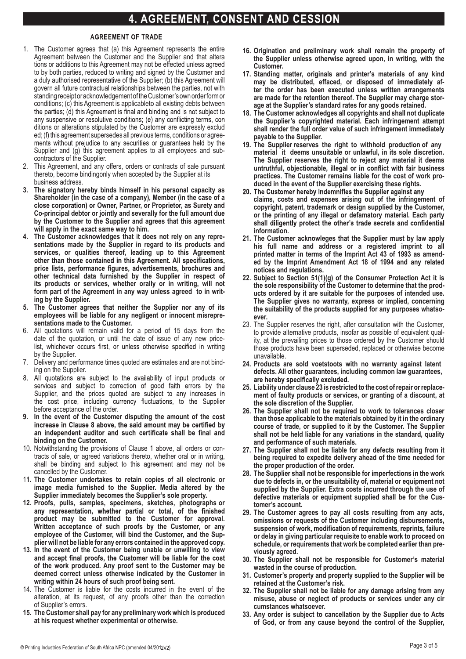## **AGREEMENT OF TRADE**

- 1. The Customer agrees that (a) this Agreement represents the entire  $\overline{A}$ The Customer agrees that (a) this Agreement represents the entire Agreement between the Customer and the Supplier and that altera tions or additions to this Agreement may not be effected unless agreed contractual relationships to the progressmicht may not be enceipted annote agreed to by both partico, request to which gain organica by the Outstanding and in a duly authorised representative of the Supplier; (b) this Agreement will govern all future contractual relationships between the parties, not with standing receipt or acknowledgement of the Customer's own order form or termining coop to all intermosing conditions with a conditions of the Agreement is annihable to all existing debts hely ean Supplier and (g) this agreement is applicable to an existing active to the Supplier. the parties; (d) this Agreement is final and binding and is not subject to any suspensive or resolutive conditions; (e) a ditions or alterations stipulated by the Customer are expressly exclud ad: (f) this agreement superinted by the executive are expressive protected. **as Co-principal debtor jointly and severally for the full amount due by the Customer to the**  ments without prejudice to any securities or guarantees held b Supplier and (g) this agreement applies to all employees and subcontractors of the Supplier. 1. The Customer agrees that (a) this Agreement represents the entire Agreement between the 1. The Customer agrees that (a) this Agreement represents the entire to by both parties, reduced to writing and signed by the Customer and terms, conditions of any securities with prejudice to any securities with prejudice to any securities or guarantees held by the Agreement is anglicable to all ovieting dobts helyoen conditions; (c) this Agreement is applicableto all existing debts between ed; (f) this agreement supersedes all previous terms, conditions or agree-
- **Agreement other than those contained in this Agreement. All specifications, price lists, performance figures, advertisements, brochures and other technical data furnished by**  thereto, become bindingonly when accepted by the Supplier at its **form part of the Supplier.** The Supplier in any way under the Supplier. The Supplier of the Supplier. The Supplier of the Supplier. The Supplier of the Supplier. The Supplier of the Supplier. The Supplier of the Supplier **Agreement other than those contained in this Agreement. All specifications, price lists,**  2. This Agreement, and any offers, orders or contracts of sale pursuant
- 3. The signatory hereby binds himself in his personal capacity as **and originary needly with misresentations in the presentations** Gridienciations will all die date of a company, member (in the date of a close corporation) or Owner, Partner, or Proprietor, as Surety and  $C$ **o-principal debtor or jointly and severally for the full amount due** by the Customer to the Supplier and agrees that this agreement will apply in the exact same way to him. any signatury neither missed minute missed in the personal Shareholder (in the case of a company), Member (in the case of a will apply in the exact same way to mill.
- correction of good faith errors by the Suppliers by the prices of the prices of the prices of the prices of the prices of the prices of the prices of the prices of the prices of the prices of the prices of the prices of th ine customer acknowledges that it does not rely on any repre**sentations made by the Supplier in regard to its products and** services, or qualities thereof, leading up to this Agreement **above, the said amount may be certified by an independent auditor and such certificate shall be finally be finally on the Customer.** price lists, performance figures, advertisements, brochures and other technical data furnished by the Supplier in respect of may not be cancelled by the Customer. may not be cancelled by the Customer. **its products or services, whether orally or in writing, will not 11. The Customer undertakes to retain copies of all electronic or image media furnished to the Supplier Supplier.** Media alternative by the Supplier in the Supplier in Mediately Suppliers in Media Suppliers sole and the Suppliers of the Suppliers sole and the Suppliers sole and the Supplier's sole of the Sup **property. property. ing by the Supplier.** 4. The Customer acknowledges that it does not rely on any repre**above, the said amount may be certified by an independent auditor and such certificate shall be finally be contained in the Customer. 11. The Customer undertakes to retain copies of all electronic or image media furnished**  form part of the Agreement in any way unless agreed to in writ-
- 5. The Customer agrees that neither the Supplier nor any of its employees will be liable for any negligent or innocent misrepresentations made to the Customer. **will bind the Customer, and the Supplier will not be liable for any errors contained in the**
- **will bind the Customer, and the Supplier will not be liable for any errors contained in the**  All quotatio date of the quotation, or until the date of issue of any new price**list** whichever occurs first or unless otherwise specified in writing **Customer may be deemed correct unless otherwise indicated by the Customer in**  writing with **within 24 hours of such proof** being sent. 6. All quotations will remain valid for a period of 15 days from the **list** whichever occurs first or unless otherwise specified in writing **Customer control control control control control control control control control control** *in <b>c in in in* **<b>***in in in in in in iii jugar iii iii i* **w** with **being with proper** by the bulk of such problems in the such problems in the such problems in the sent. by the Supplier.
- 1. Delivery and performance times quoted are estimates and are not binding on the Supplier. 7. Delivery and performance times quoted are estimates and are not bind-
- 8. All quotations are subject to the availability of input products or **whether the experimental or otherwise. 16. Origination and preliminary work shall remain the property of the Supplier unless**  Supplier, and the prices quoted are sub the cost price, including currency fluctuations, to the Supplier before acceptance of the order. whether experience on our output **16. Origination and preliminary work shall remain the property of the Supplier unless**
- **for the supplier of the curve format disputive the** *smallnt* **<b>of the cost the Supplier's standard rate in the Supplier's state for any good state for any good state for any good state** increase in Clause 8 above, the said amount may be certified by an independent auditor and such certificate shall be final and **binding on the Customer. arrangements are made for the retention thereof. The Supplier may charge storage at the Supplier's standard rates for any goods retained. 9. In the event of the Customer disputing the amount of the cost**
- **19. The Supplier reserves the right to withhold production of any material it deems unsuitable or understanding** the provisions or clause **than**  $\alpha$  and  $\alpha$ , an orders or contracts of sale, or agreed variations thereto, whether oral or in writing, shall be binding and subject to this agreement and may not be cancelled by the Customer. **19. The Supplier reserves the right to withhold production of any material it deems**  10. Notwithstanding the provisions of Clause 1 above, all orders or con-
- **20. The Customer hereby indemnifies the Supplier against any claims, costs and expenses arising out of the infringement of copyright, patent, trade mark or design supplied by**  image media furnished to the Supplier. Media altered by the Supplier immediately becomes the Supplier's sole property. **20. The Customer hereby indemnifies the Supplier against any claims, costs and expenses**  11. The Customer undertakes to retain copies of all electronic or
- 12. Proofs, pulls, samples, specimens, sketches, photographs or **the Customer to determine that the products ordered by it are suitable for the purposes of intended use. The Supplier gives no warranty, express or implied, concerning the**  product may be submitted to the Customer for approval. Written acceptance of such proofs by the Customer, or any employee of the Customer, will bind the Customer, and the Supplier will not be liable for any errors contained in the approved copy. **the Customer to determine that the products ordered by it are suitable for the purposes of intended use. The Supplier gives no warranty, express or implied, concerning the**  plier will not be liable for any errors contained in the approved copy.
- 13. In the event of the Customer being unable or unwilling to view and accept final proofs, the Customer will be liable for the cost of the work produced. Any proof sent to the Customer may be **25. The Supplier shall not be required to work to tolerances closer than those applicable to the materials obtained by it in the ordinary course of trade, or supplied to it by the**  writing within 24 hours of such proof being sent. **25. The Supplier shall not be required to work to tolerances closer than those applicable**  deemed correct unless otherwise indicated by the Customer in
- 14. The Customer is liable for the costs incurred in the event of the **26. Zupperse** *notation* **at its request of any proofs other than the correction** expediately at the tequeer, of any production than the concerning of Cumplian's arrangement. **27. The Supplier shall not be responsible for imperfections in the work due to defects in, 26. The Supplier shall not be liable for any defects resulting from it being required to**  alteration, at its request, of any proofs other than the correction<br>of Supplier's exerce. **27. The Supplier shall not be responsible for imperfections in the work due to defects in,**  of Supplier's errors.
- **or the unsuitability of, material or equipment not supplied by the Supplier. Extra costs**  at his request whether experimental or otherwise. **Customer's account.** 15. The Customer shall pay for any preliminary work which is produced **Customer's account.**
- **28. The Customer agrees to pay all costs resulting from any acts, omissions or requests of the Customer including disbursements, suspension of work, modification of**  16. Origination and preliminary work shall remain the property of the Supplier unless otherwise agreed upon, in writing, with the **processes one completed contract <b>contract contract contract earlier c 28. The Customer agrees to pay all costs resulting from any acts, omissions or requests of the Customer including disbursements, suspension of work, modification of**
- 17. Standing matter, originals and printer's materials of any kind **production. may be distributed, effaced, or disposed of immediately af**ter the order has been executed unless written arrangements **Customer's risk. are made for the retention thereof. The Supplier may charge stor-31. The Supplier shall not be liable for any damage arising from any misuse, abuse or**  age at the Supplier's standard rates for any goods retained. the Supplier unless otherwise agreed upon, in writing, with the<br>Customer.<br>17. Standing matter, originals and printer's materials of any kind<br>may be distributed, effaced, or disposed of immediately af-<br>ter the order has bee
- 18. The Customer acknowledges all copyrights and shall not duplicate **c** the Supplier's copyrighted material. Each infringement attempt **instance in the full order value of such infringement immediately** shall render the full order value of such infringement immediately<br>navable to the Sunnlier **labour disputes, first or legislation**. **the Supplier's copyrighted material. Each infringement attempt payable to the Supplier.**
- 19. The Supplier reserves the right to withhold production of any mat The Supplier reserves the right to reject any material it deems untruthful, objectionable, illegal or in conflict with fair business antruthful, objectionable, niegal of in conflict with fair business<br>practices. The Customer remains liable for the cost of work pro-<br>duced in the event of the Supplier exercising these rights. duced in the event of the Supplier exercising these rights. 19. The Supplier reserves the right to withhold production of any material it deems unsuitable or unlawful, in its sole discretion.<br>The Supplier reserves the right to reject any material it deems<br>the supplier reserves the **material it deems unsuitable or unlawful, in its sole discretion.**
- 20. The Customer hereby indemnifies the Supplier against any<br>claims, costs and expenses arising out of the infringement of<br>copyright, patent, trademark or design supplied by the Customer,<br>or the printing of any illegal or products or services or services ordered in the services of the dates in the dates of the dates it decides. 37. The Supplier shall be entitled to invoice each delivery or performance separately when **claims, costs and expenses arising out of the infringement of** executed. **copyright, patent, trademark or design supplied by the Customer,** or the printing of any illegal or defamatory material. Each party shall diligently protect the other's trade secrets and confidential represents the product and canceled the correct and contracts.  $\frac{1}{2}$  Where products or services are delivered prior to the issue of a Tax Invoice, the issue of a Tax Invoice, the Customer of a Tax Invoice, the Customer of a Tax Invoice, the issue of a Tax Invoice, the Customer of **information.**
- 21. The Customer acknowleges that the Supplier must by law apply the delivered products or services and prices agreed to. **his full name and address or a registered imprint to all**  printed matter in terms of the Imprint Act 43 of 1993 as amend**detailed on the Tax Invoice issued duly represent the goods or services ordered by the Customer at the prices agreed to by the Customer and, where delivery / performance has**  notices and regulations. The state of the state of the state of the state of the state of the state of the state of the state of the state of the state of the state of the state of the state of the state of the state of th **ed by the Imprint Amendment Act 18 of 1994 and any related**
- 22. Subject to Section 51(1)(g) of the Consumer Protection Act it is **free from any defects. the sole responsibility of the Customer to determine that the prod-41. Any delivery note, invoice or waybill (copy or original) signed by the Customer or a third**  ucts ordered by it are suitable for the purposes of intended use. **proof that delivery was made to the Customer. The Supplier gives no warranty, express or implied, concerning**  the suitability of the products supplied for any purposes whatso-<br>ever the Customer's own cost and packed in the original or suitable packaging. printed matter in terms of the Imprint Act 43 of 1993 as amended by the Imprint Amendment Act 18 of 1994 and any related notices and regulations.<br>22. Subject to Section 51(1)(g) of the Consumer Protection Act it is the sol **ever.**
- **43. Claims under this Agreement shall only be valid if the Customer has, within 3 days of the**  23. The Supplier reserves the right, after consultation with the Customer,<br>to provide alternative products, insofar as possible of equivalent qualto provide alternative products, insofar as possible of equivalent quality, at the prevailing prices to those ordered by the Customer should those products have been superseded, replaced or otherwise becomer ity, at the prevailing prices to those ordered by the Customer should<br>those products have been superseded, replaced or otherwise become<br>unavailable. those products have been superseded, replaced or otherwise become unavailable.
- 24. Products are sold voetstoots with no warranty against latent **defects. All other quarantees, including common law quarantees,**  $i$  **are hereby specifically excluded.** 24. Products are sold voetstoots with no warranty against latent<br>defects. All other guarantees, including common law guarantees,<br>are hereby specifically excluded.<br>25. Liability under clause 23 is restricted to the cost of **defects. All other guarantees, including common law guarantees,**
- **insurance premiums from the Customer for products insured on the Customer's behalf. 25. Liability under clause 23 is restricted to the cost ofrepair orreplace**ment of faulty products or services, or granting of a discount, at the sole discretion of the Supplier.
- 26. The Supplier shall not be required to work to tolerances closer be due unconditionally (a) cash order, or (b) is a conditional core customer is a Credit Approved Customer, the Customer, or (c) is a Credit Approved Customer,  $\alpha$ than those applicable to the materials obtained by it in the ordinary end of the month in which a Tax Invoice has been issued by the Supplier. **course of trade, or supplied to it by the Customer. The Supplier**  shall not be held liable for any variations in the standard, quality and performance of such materials. ment of faulty products or services, or granting of a discount, at<br>the sole discretion of the Supplier.<br>26. The Supplier shall not be required to work to tolerances closer<br>than those applicable to the materials obtained by **26. The Supplier shall not be required to work to tolerances closer**
- **50. The risk of payment by cheque through the post, or by electronic funds transfer, rests**  27. The Supplier shall not be liable for any defects resulting from it being required to expedite delivery ahead of the time needed for<br>the proper production of the order.<br>28. The Sunnlier shall not be responsible for imperfections in the work the proper production of the order.
- the Customer and a duly authorised representative of the Supplier. **28. The Supplier shall not be responsible for imperfections in the work 52. The Customer is not entitled to set off any amount due to the Customer by the Supplier**  due to defects in, or the unsuitability of, material or equipment not supplied by the Supplier. Extra costs incurred through the use of defective materials or equipment supplied shall be for the Cus**determined and proven by a certificate issued and signed by a Director/Manager. Such tomer's account.**
- **certificate shall be binding and shall be prima facie proof of the indebtedness of the Customer. 29. The Customer agrees to pay all costs resulting from any acts, 55. Any printout of computer evidence tendered by any party shall be admissible evidence omissions or requests of the Customer including disbursements, suspension of work, modification of requirements, reprints, failure** defective materials or equipment supplied shall be for the Customer's account.<br>29. The Customer agrees to pay all costs resulting from any acts,<br>omissions or requests of the Customer including disbursements,<br>suspension of **Communications and Transactions Act have not been met.** schedule, or requirements that work be completed earlier than preperiod agreed in clause 48 above in the case of a Credit Approved Customer, the Supplier is **viously agreed.**
- 30. The Supplier shall not be responsible for Customer's material wasted in the course of production.
- Customer and component and claim disputed to the Customer will be 31. Customer's property and property supplied to the Supplier will be retained at the Customer's risk.
- 32. The Supplier shall not be liable for any damage arising from any misuse, abuse or neglect of products or services under any cira contractive and to recover and the Customer.<br>Contract the Customer and the Customer. Scriedule, or requirements that work be completed earlier than previously agreed.<br>
30. The Supplier shall not be responsible for Customer's material<br>
wasted in the course of production.<br>
31. Customer's property and propert **cumstances whatsoever.**
- 33. Any order is subject to cancellation by the Supplier due to Acts of God, or from any cause beyond the control of the Supplier, become due and payable.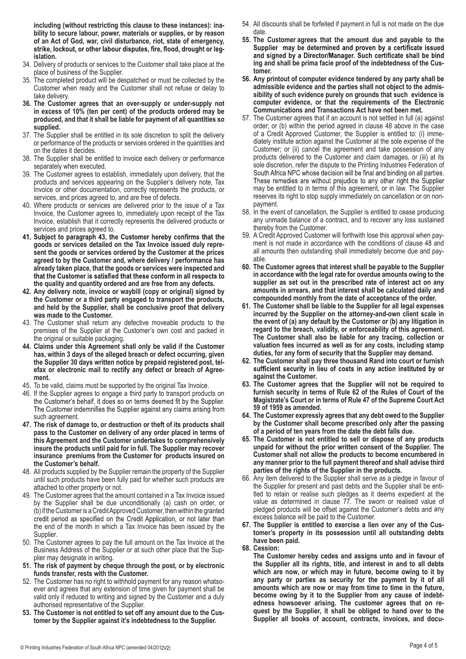**including (without restricting this clause to these instances): inability to secure labour, power, materials or supplies, or by reason of an Act of God, war, civil disturbance, riot, state of emergency, islation.**

- 34. Delivery of products or services to the Customer shall take place at the place of business of the Supplier.
- 35. The completed product will be despatched or must be collected by the Customer when ready and the Customer shall not refuse or delay to take delivery.
- **36. The Customer agrees that an over-supply or under-supply not in excess of 10% (ten per cent) of the products ordered may be produced, and that it shall be liable for payment of all quantities so supplied.**
- 37. The Supplier shall be entitled in its sole discretion to split the delivery or performance of the products or services ordered in the quantities and on the dates it decides.
- 38. The Supplier shall be entitled to invoice each delivery or performance separately when executed.
- 39. The Customer agrees to establish, immediately upon delivery, that the products and services appearing on the Supplier's delivery note, Tax Invoice or other documentation, correctly represents the products, or services, and prices agreed to, and are free of defects.
- 40. Where products or services are delivered prior to the issue of a Tax Invoice, the Customer agrees to, immediately upon receipt of the Tax Invoice, establish that it correctly represents the delivered products or services and prices agreed to.<br>41. Subject to paragraph 43, the Customer hereby confirms that the
- **goods or services detailed on the Tax Invoice issued duly represent the goods or services ordered by the Customer at the prices agreed to by the Customer and, where delivery / performance has already taken place, that the goods or services were inspected and**  that the Customer is satisfied that these conform in all respects to **the quality and quantity ordered and are free from any defects.**
- **42. Any delivery note, invoice or waybill (copy or original) signed by the Customer or a third party engaged to transport the products, and held by the Supplier, shall be conclusive proof that delivery was made to the Customer.**
- 43. The Customer shall return any defective moveable products to the premises of the Supplier at the Customer's own cost and packed in the original or suitable packaging.
- **44. Claims under this Agreement shall only be valid if the Customer has, within 3 days of the alleged breach or defect occurring, given the Supplier 30 days written notice by prepaid registered post, telefax or electronic mail to rectify any defect or breach of Agreement.**
- 45. To be valid, claims must be supported by the original Tax Invoice.
- 46. If the Supplier agrees to engage a third party to transport products on the Customer's behalf, it does so on terms deemed fit by the Supplier. The Customer indemnifies the Supplier against any claims arising from such agreement.
- **47. The risk of damage to, or destruction or theft of its products shall pass to the Customer on delivery of any order placed in terms of this Agreement and the Customer undertakes to comprehensively insure the products until paid for in full. The Supplier may recover insurance premiums from the Customer for products insured on the Customer's behalf.**
- 48. All products supplied by the Supplier remain the property of the Supplier until such products have been fully paid for whether such products are attached to other property or not.
- 49. The Customer agrees that the amount contained in a Tax Invoice issued by the Supplier shall be due unconditionally (a) cash on order, or (b) if the Customer is a Credit Approved Customer, then within the granted credit period as specified on the Credit Application, or not later than the end of the month in which a Tax Invoice has been issued by the Supplier.
- 50. The Customer agrees to pay the full amount on the Tax Invoice at the Business Address of the Supplier or at such other place that the Supplier may designate in writing.
- **51. The risk of payment by cheque through the post, or by electronic funds transfer, rests with the Customer.**
- 52. The Customer has no right to withhold payment for any reason whatsoever and agrees that any extension of time given for payment shall be valid only if reduced to writing and signed by the Customer and a duly authorised representative of the Supplier.
- **53. The Customer is not entitled to set off any amount due to the Customer by the Supplier against it's indebtedness to the Supplier.**
- 54. All discounts shall be forfeited if payment in full is not made on the due date.
- **55. The Customer agrees that the amount due and payable to the**  Supplier may be determined and proven by a certificate issued and signed by a Director/Manager. Such certificate shall be bind **ing and shall be prima facie proof of the indebtedness of the Customer.**
- **56. Any printout of computer evidence tendered by any party shall be admissible evidence and the parties shall not object to the admissibility of such evidence purely on grounds that such evidence is computer evidence, or that the requirements of the Electronic Communications and Transactions Act have not been met.**
- 57. The Customer agrees that if an account is not settled in full (a) against order; or (b) within the period agreed in clause 48 above in the case of a Credit Approved Customer, the Supplier is entitled to: (i) immediately institute action against the Customer at the sole expense of the Customer; or (ii) cancel the agreement and take possession of any products delivered to the Customer and claim damages, or (iii) at its sole discretion, refer the dispute to the Printing Industries Federation of South Africa NPC whose decision will be final and binding on all parties. These remedies are without prejudice to any other right the Supplier may be entitled to in terms of this agreement, or in law. The Supplier reserves its right to stop supply immediately on cancellation or on nonpayment.
- 58. In the event of cancellation, the Supplier is entitled to cease producing any unmade balance of a contract, and to recover any loss sustained thereby from the Customer.
- 59. A Credit Approved Customer will forthwith lose this approval when payment is not made in accordance with the conditions of clause 48 and all amounts then outstanding shall immediately become due and payable.
- **60. The Customer agrees that interest shall be payable to the Supplier in accordance with the legal rate for overdue amounts owing to the supplier as set out in the prescribed rate of interest act on any amounts in arrears, and that interest shall be calculated daily and compounded monthly from the date of acceptance of the order.**
- **61. The Customer shall be liable to the Supplier for all legal expenses incurred by the Supplier on the attorney-and-own client scale in the event of (a) any default by the Customer or (b) any litigation in regard to the breach, validity, or enforceability of this agreement. The Customer shall also be liable for any tracing, collection or valuation fees incurred as well as for any costs, including stamp duties, for any form of security that the Supplier may demand.**
- **62. The Customer shall pay three thousand Rand into court or furnish**  sufficient security in lieu of costs in any action instituted by or **against the Customer.**
- **63. The Customer agrees that the Supplier will not be required to furnish security in terms of Rule 62 of the Rules of Court of the Magistrate's Court or in terms of Rule 47 of the Supreme Court Act 59 of 1959 as amended.**
- **64. The Customer expressly agrees that any debt owed to the Supplier by the Customer shall become prescribed only after the passing of a period of ten years from the date the debt falls due.**
- **65. The Customer is not entitled to sell or dispose of any products unpaid for without the prior written consent of the Supplier. The Customer shall not allow the products to become encumbered in any manner prior to the full payment thereof and shall advise third parties of the rights of the Supplier in the products.**
- 66. Any item delivered to the Supplier shall serve as a pledge in favour of the Supplier for present and past debts and the Supplier shall be entitled to retain or realise such pledges as it deems expedient at the value as determined in clause 77. The sworn or realised value of pledged products will be offset against the Customer's debts and any excess balance will be paid to the Customer.
- **67. The Supplier is entitled to exercise a lien over any of the Customer's property in its possession until all outstanding debts have been paid.**
- **68. Cession:**

**The Customer hereby cedes and assigns unto and in favour of the Supplier all its rights, title, and interest in and to all debts which are now, or which may in future, become owing to it by any party or parties as security for the payment by it of all amounts which are now or may from time to time in the future, become owing by it to the Supplier from any cause of indebtedness howsoever arising. The customer agrees that on request by the Supplier, it shall be obliged to hand over to the Supplier all books of account, contracts, invoices, and docu-**